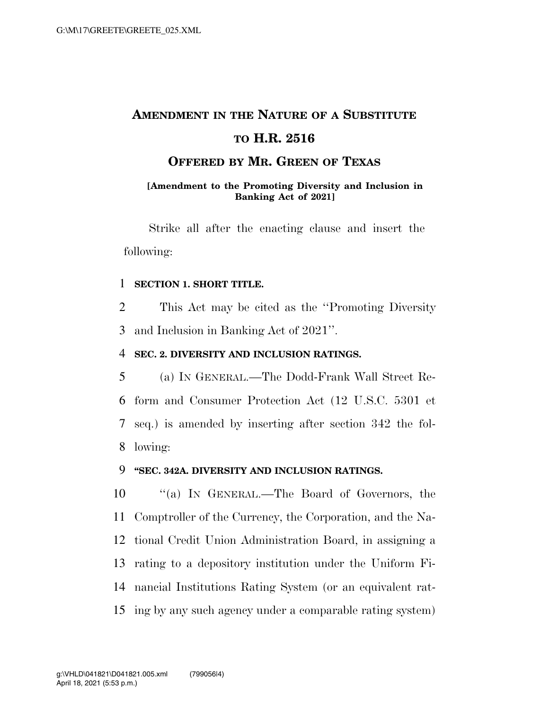## **AMENDMENT IN THE NATURE OF A SUBSTITUTE**

## **TO H.R. 2516**

## **OFFERED BY MR. GREEN OF TEXAS**

#### **[Amendment to the Promoting Diversity and Inclusion in Banking Act of 2021]**

Strike all after the enacting clause and insert the following:

#### 1 **SECTION 1. SHORT TITLE.**

2 This Act may be cited as the ''Promoting Diversity 3 and Inclusion in Banking Act of 2021''.

### 4 **SEC. 2. DIVERSITY AND INCLUSION RATINGS.**

 (a) IN GENERAL.—The Dodd-Frank Wall Street Re- form and Consumer Protection Act (12 U.S.C. 5301 et seq.) is amended by inserting after section 342 the fol-8 lowing:

#### 9 **''SEC. 342A. DIVERSITY AND INCLUSION RATINGS.**

 ''(a) IN GENERAL.—The Board of Governors, the Comptroller of the Currency, the Corporation, and the Na- tional Credit Union Administration Board, in assigning a rating to a depository institution under the Uniform Fi- nancial Institutions Rating System (or an equivalent rat-ing by any such agency under a comparable rating system)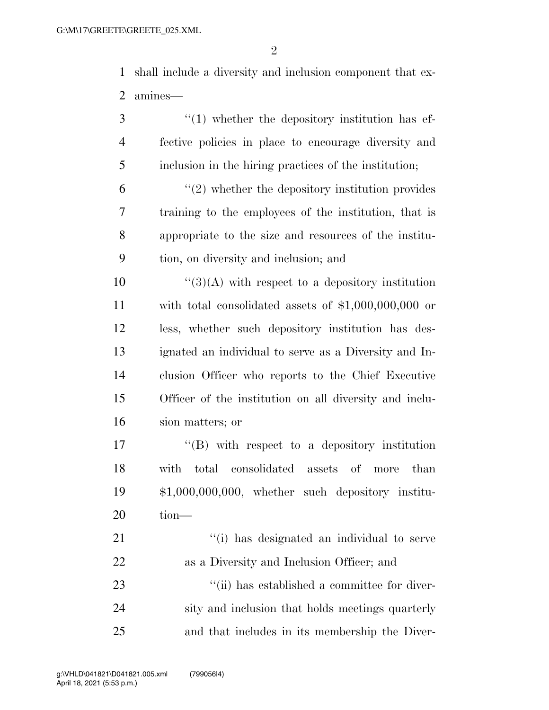shall include a diversity and inclusion component that ex-amines—

3 (1) whether the depository institution has ef- fective policies in place to encourage diversity and inclusion in the hiring practices of the institution; ''(2) whether the depository institution provides training to the employees of the institution, that is appropriate to the size and resources of the institu-tion, on diversity and inclusion; and

 ''(3)(A) with respect to a depository institution with total consolidated assets of \$1,000,000,000 or less, whether such depository institution has des- ignated an individual to serve as a Diversity and In- clusion Officer who reports to the Chief Executive Officer of the institution on all diversity and inclu-sion matters; or

 $\langle G \rangle$  with respect to a depository institution with total consolidated assets of more than \$1,000,000,000, whether such depository institu-tion—

21 ''(i) has designated an individual to serve as a Diversity and Inclusion Officer; and  $\frac{1}{1}$  as established a committee for diver- sity and inclusion that holds meetings quarterly and that includes in its membership the Diver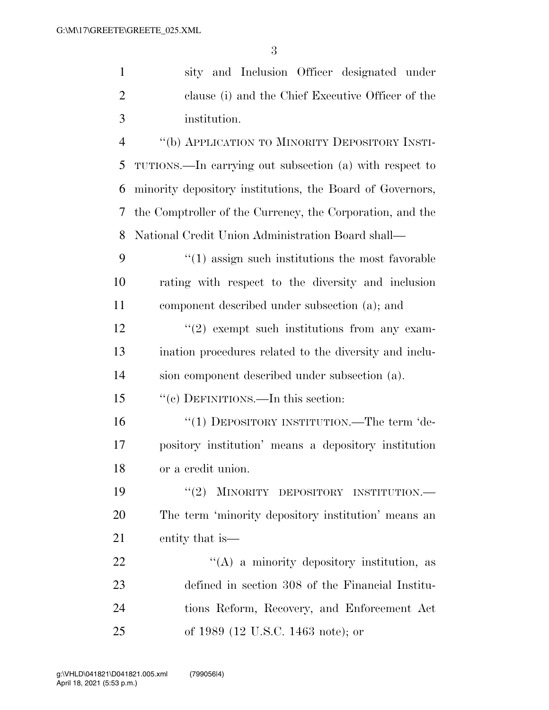| $\mathbf{1}$   | sity and Inclusion Officer designated under                      |
|----------------|------------------------------------------------------------------|
| $\overline{2}$ | clause (i) and the Chief Executive Officer of the                |
| 3              | institution.                                                     |
| $\overline{4}$ | "(b) APPLICATION TO MINORITY DEPOSITORY INSTI-                   |
| 5              | TUTIONS.—In carrying out subsection (a) with respect to          |
| 6              | minority depository institutions, the Board of Governors,        |
| 7              | the Comptroller of the Currency, the Corporation, and the        |
| 8              | National Credit Union Administration Board shall—                |
| 9              | $\cdot\cdot\cdot(1)$ assign such institutions the most favorable |
| 10             | rating with respect to the diversity and inclusion               |
| 11             | component described under subsection (a); and                    |
| 12             | $f'(2)$ exempt such institutions from any exam-                  |
| 13             | ination procedures related to the diversity and inclu-           |
| 14             | sion component described under subsection (a).                   |
| 15             | "(c) DEFINITIONS.—In this section:                               |
| 16             | "(1) DEPOSITORY INSTITUTION.—The term 'de-                       |
| 17             | pository institution' means a depository institution             |
| 18             | or a credit union.                                               |
| 19             | MINORITY DEPOSITORY INSTITUTION.<br>(2)                          |
| 20             | The term 'minority depository institution' means an              |
| 21             | entity that is—                                                  |
| 22             | "(A) a minority depository institution, as                       |
| 23             | defined in section 308 of the Financial Institu-                 |
| 24             | tions Reform, Recovery, and Enforcement Act                      |
| 25             | of 1989 (12 U.S.C. 1463 note); or                                |